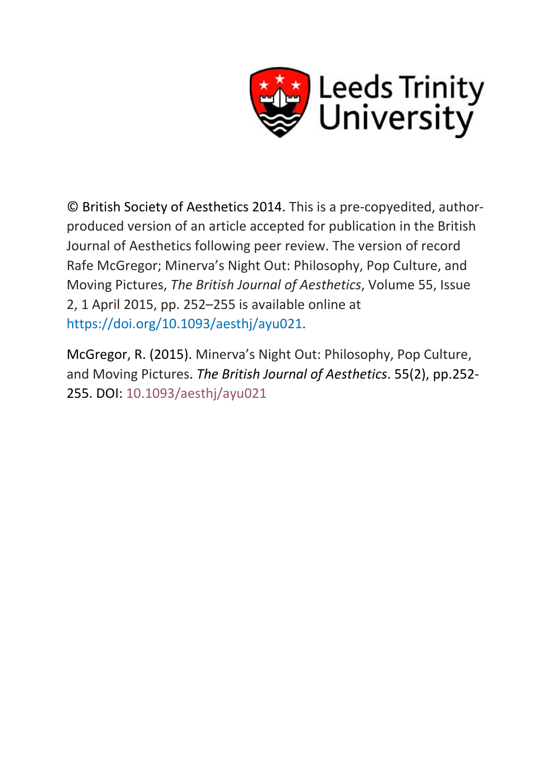

© British Society of Aesthetics 2014. This is a pre-copyedited, authorproduced version of an article accepted for publication in the British Journal of Aesthetics following peer review. The version of record Rafe McGregor; Minerva's Night Out: Philosophy, Pop Culture, and Moving Pictures, *The British Journal of Aesthetics*, Volume 55, Issue 2, 1 April 2015, pp. 252–255 is available online at [https://doi.org/10.1093/aesthj/ayu021.](https://doi.org/10.1093/aesthj/ayu021)

McGregor, R. (2015). Minerva's Night Out: Philosophy, Pop Culture, and Moving Pictures. *The British Journal of Aesthetics*. 55(2), pp.252- 255. DOI: [10.1093/aesthj/ayu021](https://doi.org/10.1093/aesthj/ayu021)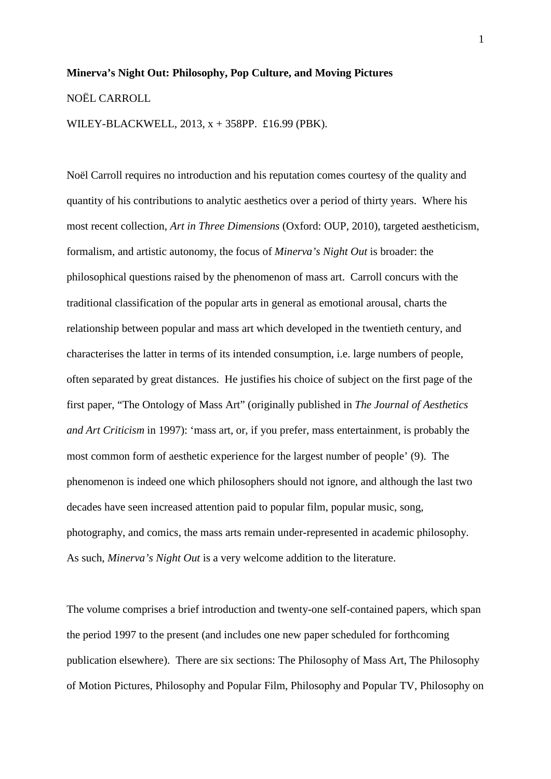## **Minerva's Night Out: Philosophy, Pop Culture, and Moving Pictures** NOËL CARROLL

WILEY-BLACKWELL, 2013, x + 358PP. £16.99 (PBK).

Noël Carroll requires no introduction and his reputation comes courtesy of the quality and quantity of his contributions to analytic aesthetics over a period of thirty years. Where his most recent collection, *Art in Three Dimensions* (Oxford: OUP, 2010), targeted aestheticism, formalism, and artistic autonomy, the focus of *Minerva's Night Out* is broader: the philosophical questions raised by the phenomenon of mass art. Carroll concurs with the traditional classification of the popular arts in general as emotional arousal, charts the relationship between popular and mass art which developed in the twentieth century, and characterises the latter in terms of its intended consumption, i.e. large numbers of people, often separated by great distances. He justifies his choice of subject on the first page of the first paper, "The Ontology of Mass Art" (originally published in *The Journal of Aesthetics and Art Criticism* in 1997): 'mass art, or, if you prefer, mass entertainment, is probably the most common form of aesthetic experience for the largest number of people' (9). The phenomenon is indeed one which philosophers should not ignore, and although the last two decades have seen increased attention paid to popular film, popular music, song, photography, and comics, the mass arts remain under-represented in academic philosophy. As such, *Minerva's Night Out* is a very welcome addition to the literature.

The volume comprises a brief introduction and twenty-one self-contained papers, which span the period 1997 to the present (and includes one new paper scheduled for forthcoming publication elsewhere). There are six sections: The Philosophy of Mass Art, The Philosophy of Motion Pictures, Philosophy and Popular Film, Philosophy and Popular TV, Philosophy on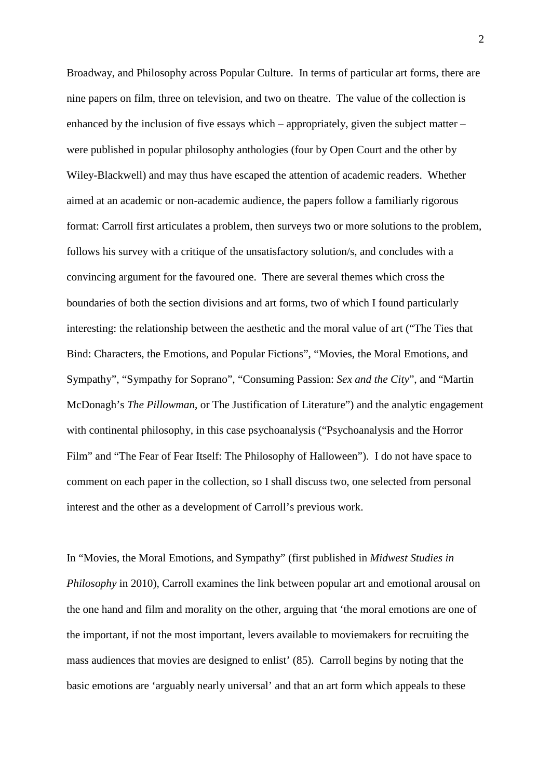Broadway, and Philosophy across Popular Culture. In terms of particular art forms, there are nine papers on film, three on television, and two on theatre. The value of the collection is enhanced by the inclusion of five essays which – appropriately, given the subject matter – were published in popular philosophy anthologies (four by Open Court and the other by Wiley-Blackwell) and may thus have escaped the attention of academic readers. Whether aimed at an academic or non-academic audience, the papers follow a familiarly rigorous format: Carroll first articulates a problem, then surveys two or more solutions to the problem, follows his survey with a critique of the unsatisfactory solution/s, and concludes with a convincing argument for the favoured one. There are several themes which cross the boundaries of both the section divisions and art forms, two of which I found particularly interesting: the relationship between the aesthetic and the moral value of art ("The Ties that Bind: Characters, the Emotions, and Popular Fictions", "Movies, the Moral Emotions, and Sympathy", "Sympathy for Soprano", "Consuming Passion: *Sex and the City*", and "Martin McDonagh's *The Pillowman*, or The Justification of Literature") and the analytic engagement with continental philosophy, in this case psychoanalysis ("Psychoanalysis and the Horror Film" and "The Fear of Fear Itself: The Philosophy of Halloween"). I do not have space to comment on each paper in the collection, so I shall discuss two, one selected from personal interest and the other as a development of Carroll's previous work.

In "Movies, the Moral Emotions, and Sympathy" (first published in *Midwest Studies in Philosophy* in 2010), Carroll examines the link between popular art and emotional arousal on the one hand and film and morality on the other, arguing that 'the moral emotions are one of the important, if not the most important, levers available to moviemakers for recruiting the mass audiences that movies are designed to enlist' (85). Carroll begins by noting that the basic emotions are 'arguably nearly universal' and that an art form which appeals to these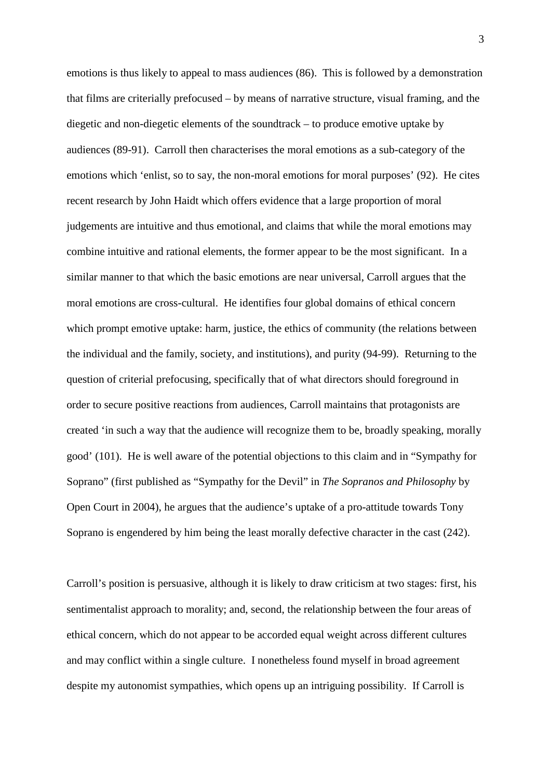emotions is thus likely to appeal to mass audiences (86). This is followed by a demonstration that films are criterially prefocused – by means of narrative structure, visual framing, and the diegetic and non-diegetic elements of the soundtrack – to produce emotive uptake by audiences (89-91). Carroll then characterises the moral emotions as a sub-category of the emotions which 'enlist, so to say, the non-moral emotions for moral purposes' (92). He cites recent research by John Haidt which offers evidence that a large proportion of moral judgements are intuitive and thus emotional, and claims that while the moral emotions may combine intuitive and rational elements, the former appear to be the most significant. In a similar manner to that which the basic emotions are near universal, Carroll argues that the moral emotions are cross-cultural. He identifies four global domains of ethical concern which prompt emotive uptake: harm, justice, the ethics of community (the relations between the individual and the family, society, and institutions), and purity (94-99). Returning to the question of criterial prefocusing, specifically that of what directors should foreground in order to secure positive reactions from audiences, Carroll maintains that protagonists are created 'in such a way that the audience will recognize them to be, broadly speaking, morally good' (101). He is well aware of the potential objections to this claim and in "Sympathy for Soprano" (first published as "Sympathy for the Devil" in *The Sopranos and Philosophy* by Open Court in 2004), he argues that the audience's uptake of a pro-attitude towards Tony Soprano is engendered by him being the least morally defective character in the cast (242).

Carroll's position is persuasive, although it is likely to draw criticism at two stages: first, his sentimentalist approach to morality; and, second, the relationship between the four areas of ethical concern, which do not appear to be accorded equal weight across different cultures and may conflict within a single culture. I nonetheless found myself in broad agreement despite my autonomist sympathies, which opens up an intriguing possibility. If Carroll is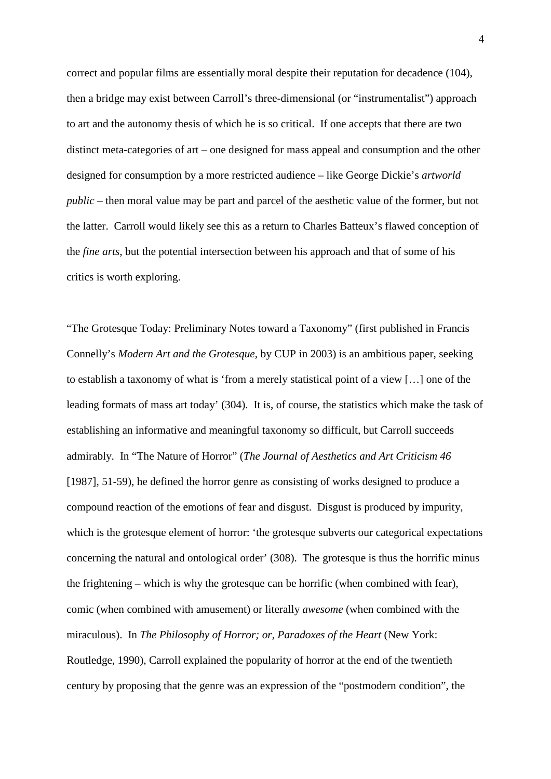correct and popular films are essentially moral despite their reputation for decadence (104), then a bridge may exist between Carroll's three-dimensional (or "instrumentalist") approach to art and the autonomy thesis of which he is so critical. If one accepts that there are two distinct meta-categories of art – one designed for mass appeal and consumption and the other designed for consumption by a more restricted audience – like George Dickie's *artworld public* – then moral value may be part and parcel of the aesthetic value of the former, but not the latter. Carroll would likely see this as a return to Charles Batteux's flawed conception of the *fine arts*, but the potential intersection between his approach and that of some of his critics is worth exploring.

"The Grotesque Today: Preliminary Notes toward a Taxonomy" (first published in Francis Connelly's *Modern Art and the Grotesque*, by CUP in 2003) is an ambitious paper, seeking to establish a taxonomy of what is 'from a merely statistical point of a view […] one of the leading formats of mass art today' (304). It is, of course, the statistics which make the task of establishing an informative and meaningful taxonomy so difficult, but Carroll succeeds admirably. In "The Nature of Horror" (*The Journal of Aesthetics and Art Criticism 46*  [1987], 51-59), he defined the horror genre as consisting of works designed to produce a compound reaction of the emotions of fear and disgust. Disgust is produced by impurity, which is the grotesque element of horror: 'the grotesque subverts our categorical expectations concerning the natural and ontological order' (308). The grotesque is thus the horrific minus the frightening – which is why the grotesque can be horrific (when combined with fear), comic (when combined with amusement) or literally *awesome* (when combined with the miraculous). In *The Philosophy of Horror; or, Paradoxes of the Heart* (New York: Routledge, 1990), Carroll explained the popularity of horror at the end of the twentieth century by proposing that the genre was an expression of the "postmodern condition", the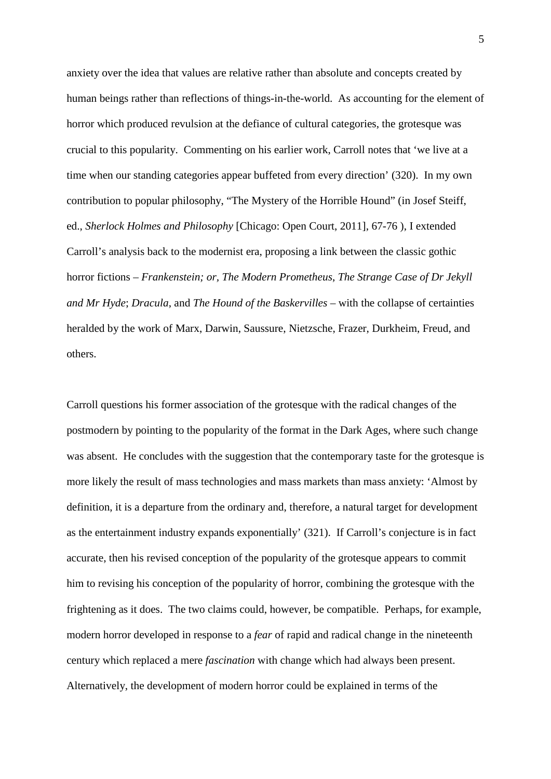anxiety over the idea that values are relative rather than absolute and concepts created by human beings rather than reflections of things-in-the-world. As accounting for the element of horror which produced revulsion at the defiance of cultural categories, the grotesque was crucial to this popularity. Commenting on his earlier work, Carroll notes that 'we live at a time when our standing categories appear buffeted from every direction' (320). In my own contribution to popular philosophy, "The Mystery of the Horrible Hound" (in Josef Steiff, ed., *Sherlock Holmes and Philosophy* [Chicago: Open Court, 2011], 67-76 ), I extended Carroll's analysis back to the modernist era, proposing a link between the classic gothic horror fictions – *Frankenstein; or, The Modern Prometheus*, *The Strange Case of Dr Jekyll and Mr Hyde*; *Dracula*, and *The Hound of the Baskervilles* – with the collapse of certainties heralded by the work of Marx, Darwin, Saussure, Nietzsche, Frazer, Durkheim, Freud, and others.

Carroll questions his former association of the grotesque with the radical changes of the postmodern by pointing to the popularity of the format in the Dark Ages, where such change was absent. He concludes with the suggestion that the contemporary taste for the grotesque is more likely the result of mass technologies and mass markets than mass anxiety: 'Almost by definition, it is a departure from the ordinary and, therefore, a natural target for development as the entertainment industry expands exponentially' (321). If Carroll's conjecture is in fact accurate, then his revised conception of the popularity of the grotesque appears to commit him to revising his conception of the popularity of horror, combining the grotesque with the frightening as it does. The two claims could, however, be compatible. Perhaps, for example, modern horror developed in response to a *fear* of rapid and radical change in the nineteenth century which replaced a mere *fascination* with change which had always been present. Alternatively, the development of modern horror could be explained in terms of the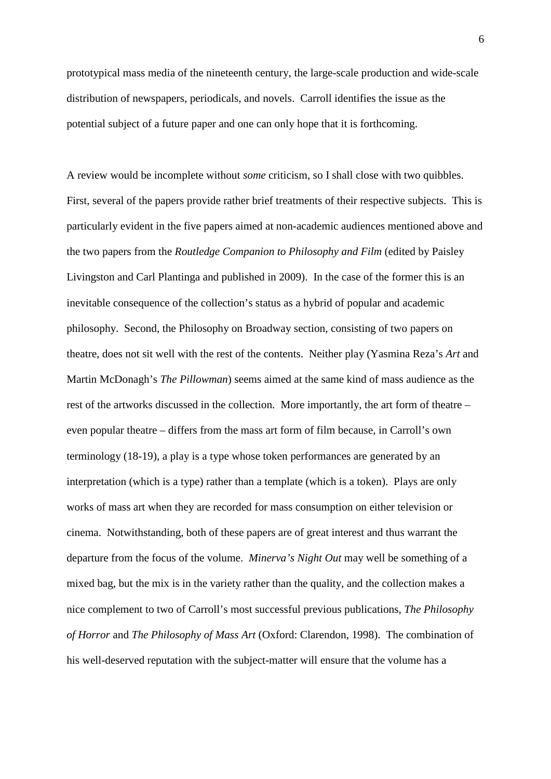prototypical mass media of the nineteenth century, the large-scale production and wide-scale distribution of newspapers, periodicals, and novels. Carroll identifies the issue as the potential subject of a future paper and one can only hope that it is forthcoming.

A review would be incomplete without *some* criticism, so I shall close with two quibbles. First, several of the papers provide rather brief treatments of their respective subjects. This is particularly evident in the five papers aimed at non-academic audiences mentioned above and the two papers from the *Routledge Companion to Philosophy and Film* (edited by Paisley Livingston and Carl Plantinga and published in 2009). In the case of the former this is an inevitable consequence of the collection's status as a hybrid of popular and academic philosophy. Second, the Philosophy on Broadway section, consisting of two papers on theatre, does not sit well with the rest of the contents. Neither play (Yasmina Reza's *Art* and Martin McDonagh's *The Pillowman*) seems aimed at the same kind of mass audience as the rest of the artworks discussed in the collection. More importantly, the art form of theatre – even popular theatre – differs from the mass art form of film because, in Carroll's own terminology (18-19), a play is a type whose token performances are generated by an interpretation (which is a type) rather than a template (which is a token). Plays are only works of mass art when they are recorded for mass consumption on either television or cinema. Notwithstanding, both of these papers are of great interest and thus warrant the departure from the focus of the volume. *Minerva's Night Out* may well be something of a mixed bag, but the mix is in the variety rather than the quality, and the collection makes a nice complement to two of Carroll's most successful previous publications, *The Philosophy of Horror* and *The Philosophy of Mass Art* (Oxford: Clarendon, 1998). The combination of his well-deserved reputation with the subject-matter will ensure that the volume has a